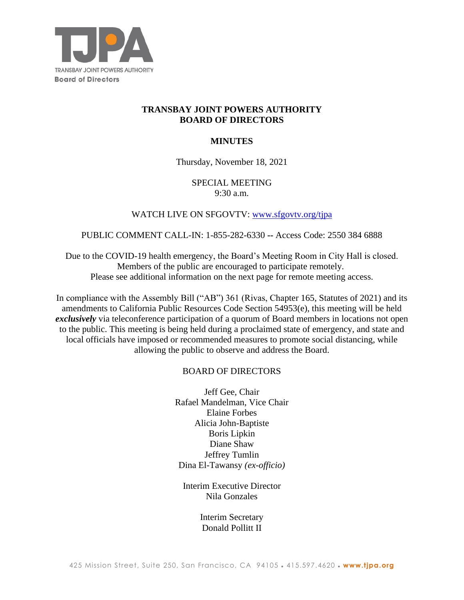

# **TRANSBAY JOINT POWERS AUTHORITY BOARD OF DIRECTORS**

### **MINUTES**

Thursday, November 18, 2021

### SPECIAL MEETING 9:30 a.m.

# WATCH LIVE ON SFGOVTV: www.sfgovtv.org/tipa

#### PUBLIC COMMENT CALL-IN: 1-855-282-6330 **--** Access Code: 2550 384 6888

Due to the COVID-19 health emergency, the Board's Meeting Room in City Hall is closed. Members of the public are encouraged to participate remotely. Please see additional information on the next page for remote meeting access.

In compliance with the Assembly Bill ("AB") 361 (Rivas, Chapter 165, Statutes of 2021) and its amendments to California Public Resources Code Section 54953(e), this meeting will be held *exclusively* via teleconference participation of a quorum of Board members in locations not open to the public. This meeting is being held during a proclaimed state of emergency, and state and local officials have imposed or recommended measures to promote social distancing, while allowing the public to observe and address the Board.

### BOARD OF DIRECTORS

Jeff Gee, Chair Rafael Mandelman, Vice Chair Elaine Forbes Alicia John-Baptiste Boris Lipkin Diane Shaw Jeffrey Tumlin Dina El-Tawansy *(ex-officio)*

Interim Executive Director Nila Gonzales

> Interim Secretary Donald Pollitt II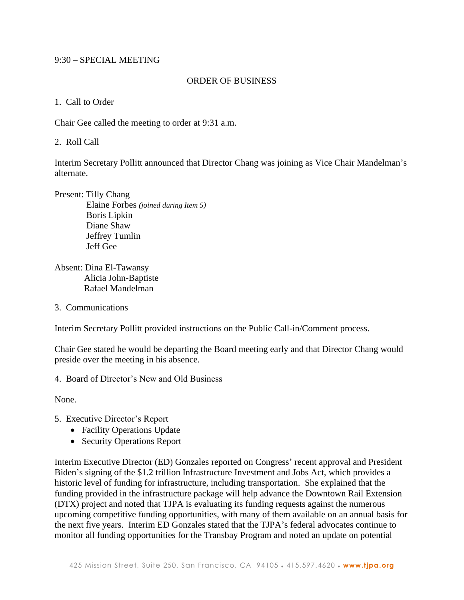### 9:30 – SPECIAL MEETING

#### ORDER OF BUSINESS

1. Call to Order

Chair Gee called the meeting to order at 9:31 a.m.

2. Roll Call

Interim Secretary Pollitt announced that Director Chang was joining as Vice Chair Mandelman's alternate.

Present: Tilly Chang Elaine Forbes *(joined during Item 5)* Boris Lipkin Diane Shaw Jeffrey Tumlin Jeff Gee

Absent: Dina El-Tawansy Alicia John-Baptiste Rafael Mandelman

3. Communications

Interim Secretary Pollitt provided instructions on the Public Call-in/Comment process.

Chair Gee stated he would be departing the Board meeting early and that Director Chang would preside over the meeting in his absence.

4. Board of Director's New and Old Business

None.

- 5. Executive Director's Report
	- Facility Operations Update
	- Security Operations Report

Interim Executive Director (ED) Gonzales reported on Congress' recent approval and President Biden's signing of the \$1.2 trillion Infrastructure Investment and Jobs Act, which provides a historic level of funding for infrastructure, including transportation. She explained that the funding provided in the infrastructure package will help advance the Downtown Rail Extension (DTX) project and noted that TJPA is evaluating its funding requests against the numerous upcoming competitive funding opportunities, with many of them available on an annual basis for the next five years. Interim ED Gonzales stated that the TJPA's federal advocates continue to monitor all funding opportunities for the Transbay Program and noted an update on potential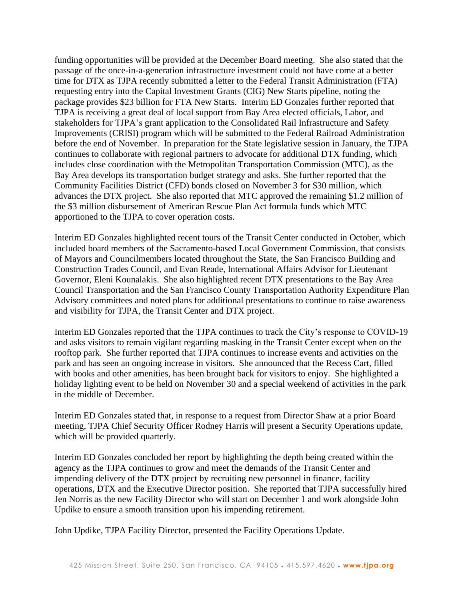funding opportunities will be provided at the December Board meeting. She also stated that the passage of the once-in-a-generation infrastructure investment could not have come at a better time for DTX as TJPA recently submitted a letter to the Federal Transit Administration (FTA) requesting entry into the Capital Investment Grants (CIG) New Starts pipeline, noting the package provides \$23 billion for FTA New Starts. Interim ED Gonzales further reported that TJPA is receiving a great deal of local support from Bay Area elected officials, Labor, and stakeholders for TJPA's grant application to the Consolidated Rail Infrastructure and Safety Improvements (CRISI) program which will be submitted to the Federal Railroad Administration before the end of November. In preparation for the State legislative session in January, the TJPA continues to collaborate with regional partners to advocate for additional DTX funding, which includes close coordination with the Metropolitan Transportation Commission (MTC), as the Bay Area develops its transportation budget strategy and asks. She further reported that the Community Facilities District (CFD) bonds closed on November 3 for \$30 million, which advances the DTX project. She also reported that MTC approved the remaining \$1.2 million of the \$3 million disbursement of American Rescue Plan Act formula funds which MTC apportioned to the TJPA to cover operation costs.

Interim ED Gonzales highlighted recent tours of the Transit Center conducted in October, which included board members of the Sacramento-based Local Government Commission, that consists of Mayors and Councilmembers located throughout the State, the San Francisco Building and Construction Trades Council, and Evan Reade, International Affairs Advisor for Lieutenant Governor, Eleni Kounalakis. She also highlighted recent DTX presentations to the Bay Area Council Transportation and the San Francisco County Transportation Authority Expenditure Plan Advisory committees and noted plans for additional presentations to continue to raise awareness and visibility for TJPA, the Transit Center and DTX project.

Interim ED Gonzales reported that the TJPA continues to track the City's response to COVID-19 and asks visitors to remain vigilant regarding masking in the Transit Center except when on the rooftop park. She further reported that TJPA continues to increase events and activities on the park and has seen an ongoing increase in visitors. She announced that the Recess Cart, filled with books and other amenities, has been brought back for visitors to enjoy. She highlighted a holiday lighting event to be held on November 30 and a special weekend of activities in the park in the middle of December.

Interim ED Gonzales stated that, in response to a request from Director Shaw at a prior Board meeting, TJPA Chief Security Officer Rodney Harris will present a Security Operations update, which will be provided quarterly.

Interim ED Gonzales concluded her report by highlighting the depth being created within the agency as the TJPA continues to grow and meet the demands of the Transit Center and impending delivery of the DTX project by recruiting new personnel in finance, facility operations, DTX and the Executive Director position. She reported that TJPA successfully hired Jen Norris as the new Facility Director who will start on December 1 and work alongside John Updike to ensure a smooth transition upon his impending retirement.

John Updike, TJPA Facility Director, presented the Facility Operations Update.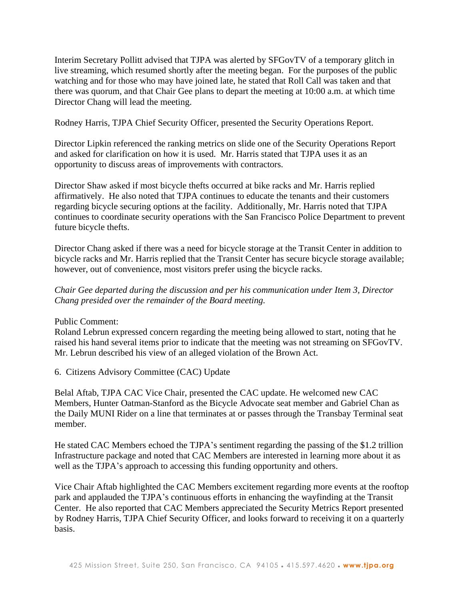Interim Secretary Pollitt advised that TJPA was alerted by SFGovTV of a temporary glitch in live streaming, which resumed shortly after the meeting began. For the purposes of the public watching and for those who may have joined late, he stated that Roll Call was taken and that there was quorum, and that Chair Gee plans to depart the meeting at 10:00 a.m. at which time Director Chang will lead the meeting.

Rodney Harris, TJPA Chief Security Officer, presented the Security Operations Report.

Director Lipkin referenced the ranking metrics on slide one of the Security Operations Report and asked for clarification on how it is used. Mr. Harris stated that TJPA uses it as an opportunity to discuss areas of improvements with contractors.

Director Shaw asked if most bicycle thefts occurred at bike racks and Mr. Harris replied affirmatively. He also noted that TJPA continues to educate the tenants and their customers regarding bicycle securing options at the facility. Additionally, Mr. Harris noted that TJPA continues to coordinate security operations with the San Francisco Police Department to prevent future bicycle thefts.

Director Chang asked if there was a need for bicycle storage at the Transit Center in addition to bicycle racks and Mr. Harris replied that the Transit Center has secure bicycle storage available; however, out of convenience, most visitors prefer using the bicycle racks.

*Chair Gee departed during the discussion and per his communication under Item 3, Director Chang presided over the remainder of the Board meeting.*

Public Comment:

Roland Lebrun expressed concern regarding the meeting being allowed to start, noting that he raised his hand several items prior to indicate that the meeting was not streaming on SFGovTV. Mr. Lebrun described his view of an alleged violation of the Brown Act.

6. Citizens Advisory Committee (CAC) Update

Belal Aftab, TJPA CAC Vice Chair, presented the CAC update. He welcomed new CAC Members, Hunter Oatman-Stanford as the Bicycle Advocate seat member and Gabriel Chan as the Daily MUNI Rider on a line that terminates at or passes through the Transbay Terminal seat member.

He stated CAC Members echoed the TJPA's sentiment regarding the passing of the \$1.2 trillion Infrastructure package and noted that CAC Members are interested in learning more about it as well as the TJPA's approach to accessing this funding opportunity and others.

Vice Chair Aftab highlighted the CAC Members excitement regarding more events at the rooftop park and applauded the TJPA's continuous efforts in enhancing the wayfinding at the Transit Center. He also reported that CAC Members appreciated the Security Metrics Report presented by Rodney Harris, TJPA Chief Security Officer, and looks forward to receiving it on a quarterly basis.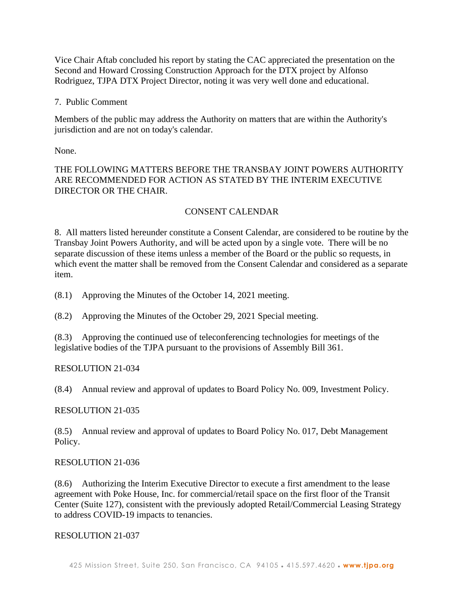Vice Chair Aftab concluded his report by stating the CAC appreciated the presentation on the Second and Howard Crossing Construction Approach for the DTX project by Alfonso Rodriguez, TJPA DTX Project Director, noting it was very well done and educational.

7. Public Comment

Members of the public may address the Authority on matters that are within the Authority's jurisdiction and are not on today's calendar.

None.

# THE FOLLOWING MATTERS BEFORE THE TRANSBAY JOINT POWERS AUTHORITY ARE RECOMMENDED FOR ACTION AS STATED BY THE INTERIM EXECUTIVE DIRECTOR OR THE CHAIR.

# CONSENT CALENDAR

8. All matters listed hereunder constitute a Consent Calendar, are considered to be routine by the Transbay Joint Powers Authority, and will be acted upon by a single vote. There will be no separate discussion of these items unless a member of the Board or the public so requests, in which event the matter shall be removed from the Consent Calendar and considered as a separate item.

(8.1) Approving the Minutes of the October 14, 2021 meeting.

(8.2) Approving the Minutes of the October 29, 2021 Special meeting.

(8.3) Approving the continued use of teleconferencing technologies for meetings of the legislative bodies of the TJPA pursuant to the provisions of Assembly Bill 361.

### RESOLUTION 21-034

(8.4) Annual review and approval of updates to Board Policy No. 009, Investment Policy.

### RESOLUTION 21-035

(8.5) Annual review and approval of updates to Board Policy No. 017, Debt Management Policy.

### RESOLUTION 21-036

(8.6) Authorizing the Interim Executive Director to execute a first amendment to the lease agreement with Poke House, Inc. for commercial/retail space on the first floor of the Transit Center (Suite 127), consistent with the previously adopted Retail/Commercial Leasing Strategy to address COVID-19 impacts to tenancies.

### RESOLUTION 21-037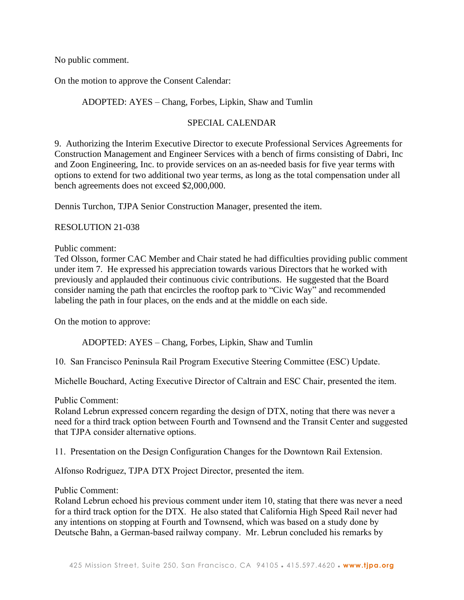No public comment.

On the motion to approve the Consent Calendar:

### ADOPTED: AYES – Chang, Forbes, Lipkin, Shaw and Tumlin

#### SPECIAL CALENDAR

9. Authorizing the Interim Executive Director to execute Professional Services Agreements for Construction Management and Engineer Services with a bench of firms consisting of Dabri, Inc and Zoon Engineering, Inc. to provide services on an as-needed basis for five year terms with options to extend for two additional two year terms, as long as the total compensation under all bench agreements does not exceed \$2,000,000.

Dennis Turchon, TJPA Senior Construction Manager, presented the item.

#### RESOLUTION 21-038

#### Public comment:

Ted Olsson, former CAC Member and Chair stated he had difficulties providing public comment under item 7. He expressed his appreciation towards various Directors that he worked with previously and applauded their continuous civic contributions. He suggested that the Board consider naming the path that encircles the rooftop park to "Civic Way" and recommended labeling the path in four places, on the ends and at the middle on each side.

On the motion to approve:

ADOPTED: AYES – Chang, Forbes, Lipkin, Shaw and Tumlin

10. San Francisco Peninsula Rail Program Executive Steering Committee (ESC) Update.

Michelle Bouchard, Acting Executive Director of Caltrain and ESC Chair, presented the item.

Public Comment:

Roland Lebrun expressed concern regarding the design of DTX, noting that there was never a need for a third track option between Fourth and Townsend and the Transit Center and suggested that TJPA consider alternative options.

11. Presentation on the Design Configuration Changes for the Downtown Rail Extension.

Alfonso Rodriguez, TJPA DTX Project Director, presented the item.

#### Public Comment:

Roland Lebrun echoed his previous comment under item 10, stating that there was never a need for a third track option for the DTX. He also stated that California High Speed Rail never had any intentions on stopping at Fourth and Townsend, which was based on a study done by Deutsche Bahn, a German-based railway company. Mr. Lebrun concluded his remarks by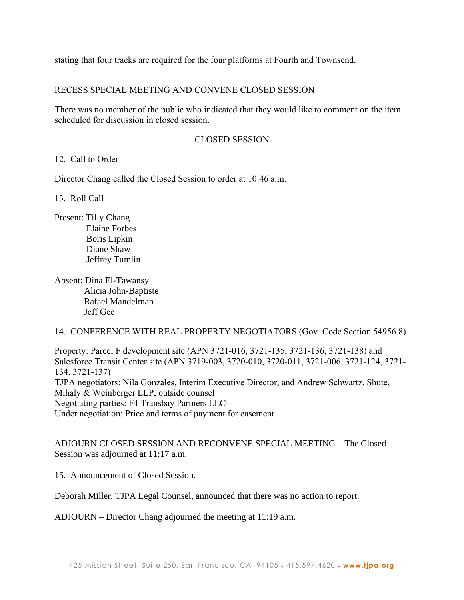stating that four tracks are required for the four platforms at Fourth and Townsend.

# RECESS SPECIAL MEETING AND CONVENE CLOSED SESSION

There was no member of the public who indicated that they would like to comment on the item scheduled for discussion in closed session.

# CLOSED SESSION

### 12. Call to Order

Director Chang called the Closed Session to order at 10:46 a.m.

13. Roll Call

Present: Tilly Chang Elaine Forbes Boris Lipkin Diane Shaw Jeffrey Tumlin

Absent: Dina El-Tawansy Alicia John-Baptiste Rafael Mandelman Jeff Gee

14. CONFERENCE WITH REAL PROPERTY NEGOTIATORS (Gov. Code Section 54956.8)

Property: Parcel F development site (APN 3721-016, 3721-135, 3721-136, 3721-138) and Salesforce Transit Center site (APN 3719-003, 3720-010, 3720-011, 3721-006, 3721-124, 3721- 134, 3721-137) TJPA negotiators: Nila Gonzales, Interim Executive Director, and Andrew Schwartz, Shute, Mihaly & Weinberger LLP, outside counsel Negotiating parties: F4 Transbay Partners LLC Under negotiation: Price and terms of payment for easement

ADJOURN CLOSED SESSION AND RECONVENE SPECIAL MEETING – The Closed Session was adjourned at 11:17 a.m.

15. Announcement of Closed Session.

Deborah Miller, TJPA Legal Counsel, announced that there was no action to report.

ADJOURN – Director Chang adjourned the meeting at 11:19 a.m.